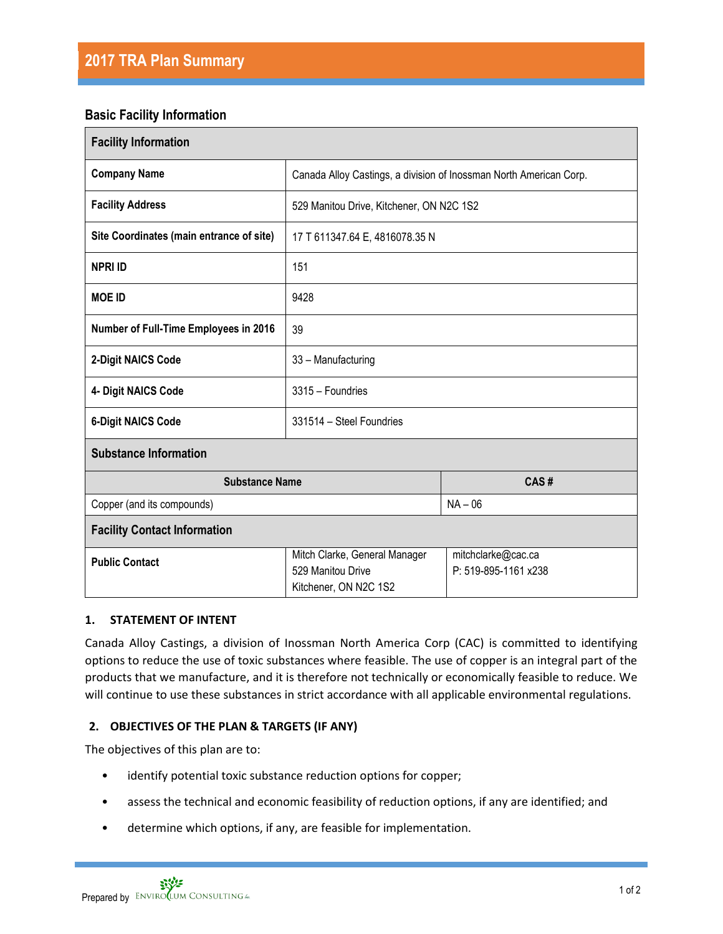# **Basic Facility Information**

| <b>Facility Information</b>              |                                                                             |                                            |
|------------------------------------------|-----------------------------------------------------------------------------|--------------------------------------------|
| <b>Company Name</b>                      | Canada Alloy Castings, a division of Inossman North American Corp.          |                                            |
| <b>Facility Address</b>                  | 529 Manitou Drive, Kitchener, ON N2C 1S2                                    |                                            |
| Site Coordinates (main entrance of site) | 17 T 611347.64 E, 4816078.35 N                                              |                                            |
| <b>NPRI ID</b>                           | 151                                                                         |                                            |
| <b>MOE ID</b>                            | 9428                                                                        |                                            |
| Number of Full-Time Employees in 2016    | 39                                                                          |                                            |
| 2-Digit NAICS Code                       | 33 - Manufacturing                                                          |                                            |
| 4- Digit NAICS Code                      | 3315 - Foundries                                                            |                                            |
| <b>6-Digit NAICS Code</b>                | 331514 - Steel Foundries                                                    |                                            |
| <b>Substance Information</b>             |                                                                             |                                            |
| <b>Substance Name</b>                    |                                                                             | CAS#                                       |
| Copper (and its compounds)               |                                                                             | $NA - 06$                                  |
| <b>Facility Contact Information</b>      |                                                                             |                                            |
| <b>Public Contact</b>                    | Mitch Clarke, General Manager<br>529 Manitou Drive<br>Kitchener, ON N2C 1S2 | mitchclarke@cac.ca<br>P: 519-895-1161 x238 |

## **1. STATEMENT OF INTENT**

Canada Alloy Castings, a division of Inossman North America Corp (CAC) is committed to identifying options to reduce the use of toxic substances where feasible. The use of copper is an integral part of the products that we manufacture, and it is therefore not technically or economically feasible to reduce. We will continue to use these substances in strict accordance with all applicable environmental regulations.

## **2. OBJECTIVES OF THE PLAN & TARGETS (IF ANY)**

The objectives of this plan are to:

- identify potential toxic substance reduction options for copper;
- assess the technical and economic feasibility of reduction options, if any are identified; and
- determine which options, if any, are feasible for implementation.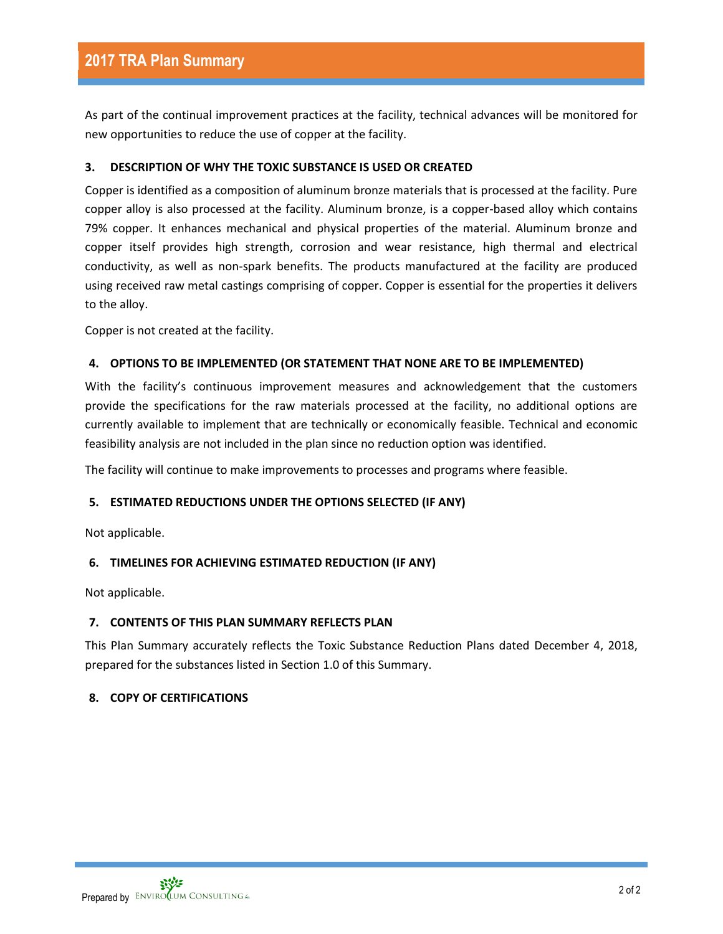As part of the continual improvement practices at the facility, technical advances will be monitored for new opportunities to reduce the use of copper at the facility.

## **3. DESCRIPTION OF WHY THE TOXIC SUBSTANCE IS USED OR CREATED**

Copper is identified as a composition of aluminum bronze materials that is processed at the facility. Pure copper alloy is also processed at the facility. Aluminum bronze, is a copper-based alloy which contains 79% copper. It enhances mechanical and physical properties of the material. Aluminum bronze and copper itself provides high strength, corrosion and wear resistance, high thermal and electrical conductivity, as well as non-spark benefits. The products manufactured at the facility are produced using received raw metal castings comprising of copper. Copper is essential for the properties it delivers to the alloy.

Copper is not created at the facility.

#### **4. OPTIONS TO BE IMPLEMENTED (OR STATEMENT THAT NONE ARE TO BE IMPLEMENTED)**

With the facility's continuous improvement measures and acknowledgement that the customers provide the specifications for the raw materials processed at the facility, no additional options are currently available to implement that are technically or economically feasible. Technical and economic feasibility analysis are not included in the plan since no reduction option was identified.

The facility will continue to make improvements to processes and programs where feasible.

## **5. ESTIMATED REDUCTIONS UNDER THE OPTIONS SELECTED (IF ANY)**

Not applicable.

## **6. TIMELINES FOR ACHIEVING ESTIMATED REDUCTION (IF ANY)**

Not applicable.

## **7. CONTENTS OF THIS PLAN SUMMARY REFLECTS PLAN**

This Plan Summary accurately reflects the Toxic Substance Reduction Plans dated December 4, 2018, prepared for the substances listed in Section 1.0 of this Summary.

## **8. COPY OF CERTIFICATIONS**